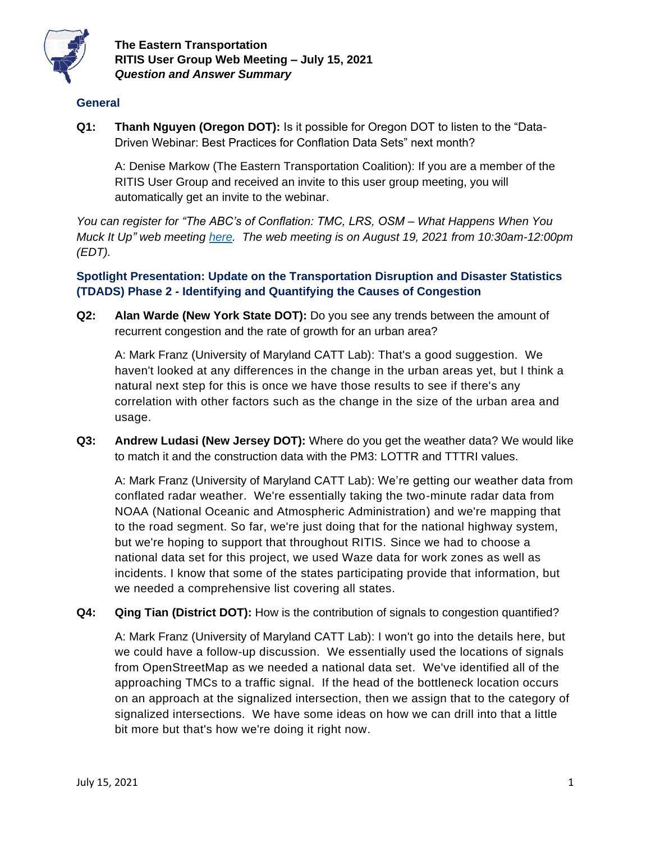

# **General**

**Q1: Thanh Nguyen (Oregon DOT):** Is it possible for Oregon DOT to listen to the "Data-Driven Webinar: Best Practices for Conflation Data Sets" next month?

A: Denise Markow (The Eastern Transportation Coalition): If you are a member of the RITIS User Group and received an invite to this user group meeting, you will automatically get an invite to the webinar.

*You can register for "The ABC's of Conflation: TMC, LRS, OSM – What Happens When You Muck It Up" web meeting [here.](https://us02web.zoom.us/webinar/register/WN_UsuIDKXTTdOBQUXc8ybcxQ) The web meeting is on August 19, 2021 from 10:30am-12:00pm (EDT).* 

# **Spotlight Presentation: Update on the Transportation Disruption and Disaster Statistics (TDADS) Phase 2 - Identifying and Quantifying the Causes of Congestion**

**Q2: Alan Warde (New York State DOT):** Do you see any trends between the amount of recurrent congestion and the rate of growth for an urban area?

A: Mark Franz (University of Maryland CATT Lab): That's a good suggestion. We haven't looked at any differences in the change in the urban areas yet, but I think a natural next step for this is once we have those results to see if there's any correlation with other factors such as the change in the size of the urban area and usage.

**Q3: Andrew Ludasi (New Jersey DOT):** Where do you get the weather data? We would like to match it and the construction data with the PM3: LOTTR and TTTRI values.

A: Mark Franz (University of Maryland CATT Lab): We're getting our weather data from conflated radar weather. We're essentially taking the two-minute radar data from NOAA (National Oceanic and Atmospheric Administration) and we're mapping that to the road segment. So far, we're just doing that for the national highway system, but we're hoping to support that throughout RITIS. Since we had to choose a national data set for this project, we used Waze data for work zones as well as incidents. I know that some of the states participating provide that information, but we needed a comprehensive list covering all states.

**Q4: Qing Tian (District DOT):** How is the contribution of signals to congestion quantified?

A: Mark Franz (University of Maryland CATT Lab): I won't go into the details here, but we could have a follow-up discussion. We essentially used the locations of signals from OpenStreetMap as we needed a national data set. We've identified all of the approaching TMCs to a traffic signal. If the head of the bottleneck location occurs on an approach at the signalized intersection, then we assign that to the category of signalized intersections. We have some ideas on how we can drill into that a little bit more but that's how we're doing it right now.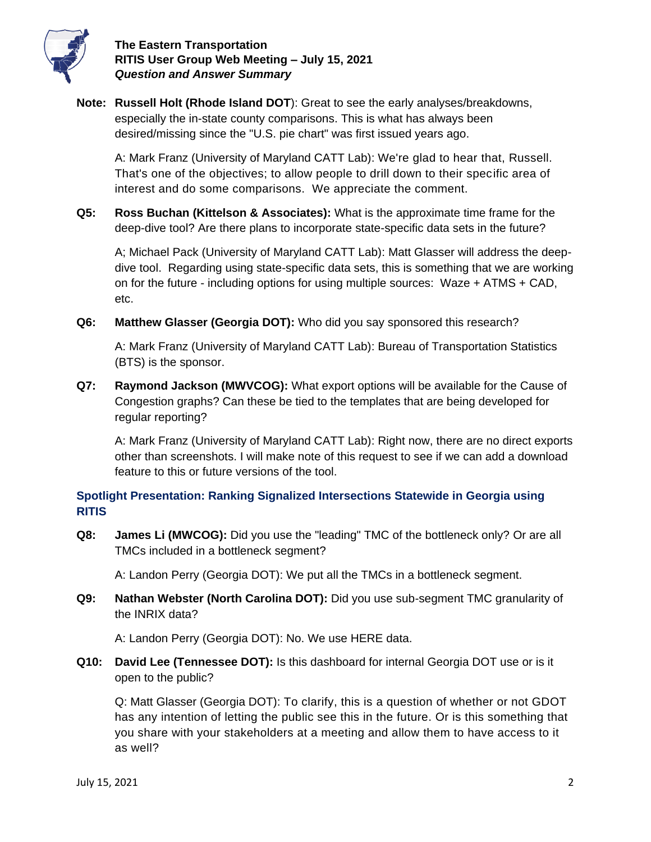

**Note: Russell Holt (Rhode Island DOT**): Great to see the early analyses/breakdowns, especially the in-state county comparisons. This is what has always been desired/missing since the "U.S. pie chart" was first issued years ago.

A: Mark Franz (University of Maryland CATT Lab): We're glad to hear that, Russell. That's one of the objectives; to allow people to drill down to their specific area of interest and do some comparisons. We appreciate the comment.

**Q5: Ross Buchan (Kittelson & Associates):** What is the approximate time frame for the deep-dive tool? Are there plans to incorporate state-specific data sets in the future?

A; Michael Pack (University of Maryland CATT Lab): Matt Glasser will address the deepdive tool. Regarding using state-specific data sets, this is something that we are working on for the future - including options for using multiple sources:  $Waze + ATMS + CAD$ , etc.

**Q6: Matthew Glasser (Georgia DOT):** Who did you say sponsored this research?

A: Mark Franz (University of Maryland CATT Lab): Bureau of Transportation Statistics (BTS) is the sponsor.

**Q7: Raymond Jackson (MWVCOG):** What export options will be available for the Cause of Congestion graphs? Can these be tied to the templates that are being developed for regular reporting?

A: Mark Franz (University of Maryland CATT Lab): Right now, there are no direct exports other than screenshots. I will make note of this request to see if we can add a download feature to this or future versions of the tool.

# **Spotlight Presentation: Ranking Signalized Intersections Statewide in Georgia using RITIS**

**Q8: James Li (MWCOG):** Did you use the "leading" TMC of the bottleneck only? Or are all TMCs included in a bottleneck segment?

A: Landon Perry (Georgia DOT): We put all the TMCs in a bottleneck segment.

**Q9: Nathan Webster (North Carolina DOT):** Did you use sub-segment TMC granularity of the INRIX data?

A: Landon Perry (Georgia DOT): No. We use HERE data.

**Q10: David Lee (Tennessee DOT):** Is this dashboard for internal Georgia DOT use or is it open to the public?

Q: Matt Glasser (Georgia DOT): To clarify, this is a question of whether or not GDOT has any intention of letting the public see this in the future. Or is this something that you share with your stakeholders at a meeting and allow them to have access to it as well?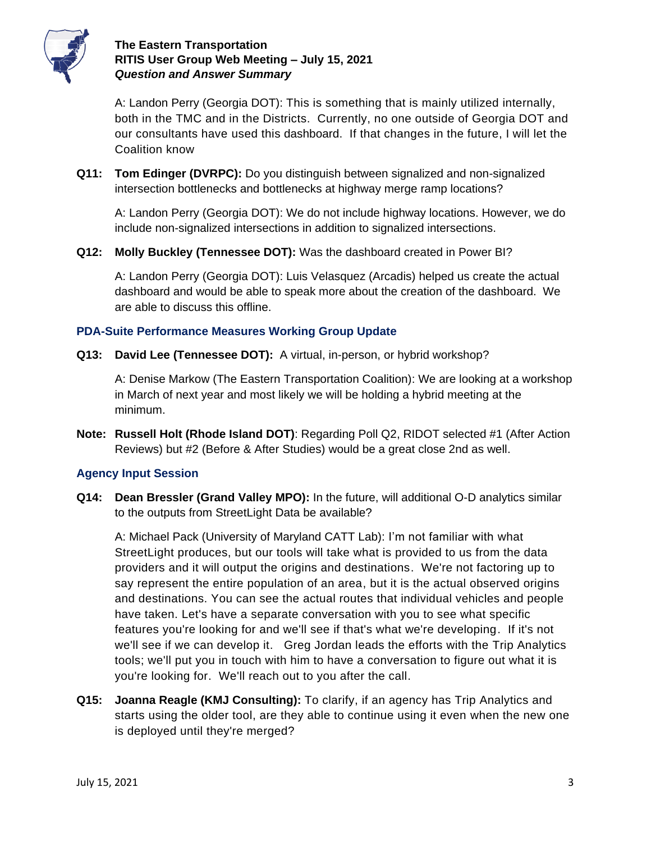

A: Landon Perry (Georgia DOT): This is something that is mainly utilized internally, both in the TMC and in the Districts. Currently, no one outside of Georgia DOT and our consultants have used this dashboard. If that changes in the future, I will let the Coalition know

**Q11: Tom Edinger (DVRPC):** Do you distinguish between signalized and non-signalized intersection bottlenecks and bottlenecks at highway merge ramp locations?

A: Landon Perry (Georgia DOT): We do not include highway locations. However, we do include non-signalized intersections in addition to signalized intersections.

**Q12: Molly Buckley (Tennessee DOT):** Was the dashboard created in Power BI?

A: Landon Perry (Georgia DOT): Luis Velasquez (Arcadis) helped us create the actual dashboard and would be able to speak more about the creation of the dashboard. We are able to discuss this offline.

# **PDA-Suite Performance Measures Working Group Update**

**Q13: David Lee (Tennessee DOT):** A virtual, in-person, or hybrid workshop?

A: Denise Markow (The Eastern Transportation Coalition): We are looking at a workshop in March of next year and most likely we will be holding a hybrid meeting at the minimum.

**Note: Russell Holt (Rhode Island DOT)**: Regarding Poll Q2, RIDOT selected #1 (After Action Reviews) but #2 (Before & After Studies) would be a great close 2nd as well.

#### **Agency Input Session**

**Q14: Dean Bressler (Grand Valley MPO):** In the future, will additional O-D analytics similar to the outputs from StreetLight Data be available?

A: Michael Pack (University of Maryland CATT Lab): I'm not familiar with what StreetLight produces, but our tools will take what is provided to us from the data providers and it will output the origins and destinations. We're not factoring up to say represent the entire population of an area, but it is the actual observed origins and destinations. You can see the actual routes that individual vehicles and people have taken. Let's have a separate conversation with you to see what specific features you're looking for and we'll see if that's what we're developing. If it's not we'll see if we can develop it. Greg Jordan leads the efforts with the Trip Analytics tools; we'll put you in touch with him to have a conversation to figure out what it is you're looking for. We'll reach out to you after the call.

**Q15: Joanna Reagle (KMJ Consulting):** To clarify, if an agency has Trip Analytics and starts using the older tool, are they able to continue using it even when the new one is deployed until they're merged?